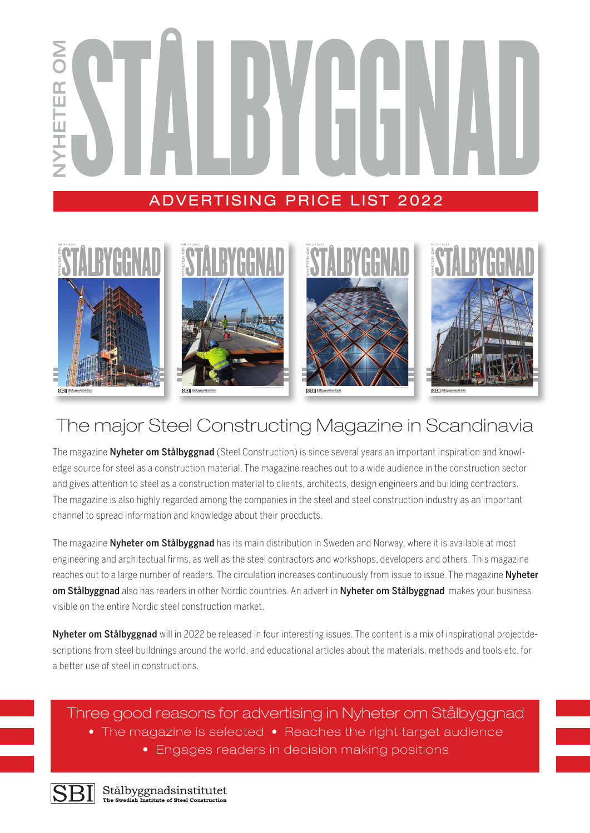# **TER** <u>іт</u> ADVERTISING PRICE LIST 2022



### The major Steel Constructing Magazine in Scandinavia

The magazine **Nyheter om Stålbyggnad** (Steel Construction) is since several years an important inspiration and knowledge source for steel as a construction material. The magazine reaches out to a wide audience in the construction sector and gives attention to steel as a construction material to clients, architects, design engineers and building contractors. The magazine is also highly regarded among the companies in the steel and steel construction industry as an important channel to spread information and knowledge about their procducts.

The magazine **Nyheter om Stålbyggnad** has its main distribution in Sweden and Norway, where it is available at most engineering and architectual firms, as well as the steel contractors and workshops, developers and others. This magazine reaches out to a large number of readers. The circulation increases continuously from issue to issue. The magazine Nyheter om Stålbyggnad also has readers in other Nordic countries. An advert in Nyheter om Stålbyggnad makes your business visible on the entire Nordic steel construction market.

Nyheter om Stålbyggnad will in 2022 be released in four interesting issues. The content is a mix of inspirational projectdescriptions from steel buildnings around the world, and educational articles about the materials, methods and tools etc. for a better use of steel in constructions.

Three good reasons for advertising in Nyheter om Stålbyggnad • The magazine is selected • Reaches the right target audience

- - Engages readers in decision making positions